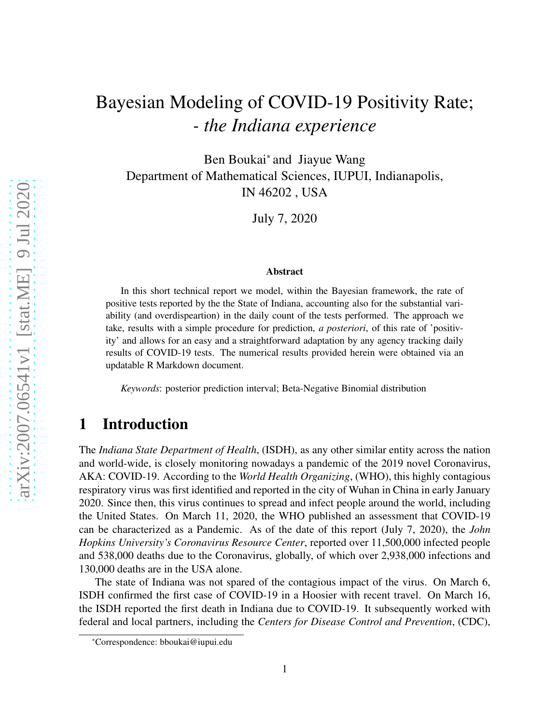# Bayesian Modeling of COVID-19 Positivity Rate; *- the Indiana experience*

Ben Boukai<sup>∗</sup> and Jiayue Wang Department of Mathematical Sciences, IUPUI, Indianapolis, IN 46202 , USA

July 7, 2020

#### Abstract

In this short technical report we model, within the Bayesian framework, the rate of positive tests reported by the the State of Indiana, accounting also for the substantial variability (and overdispeartion) in the daily count of the tests performed. The approach we take, results with a simple procedure for prediction, *a posteriori*, of this rate of 'positivity' and allows for an easy and a straightforward adaptation by any agency tracking daily results of COVID-19 tests. The numerical results provided herein were obtained via an updatable R Markdown document.

*Keywords*: posterior prediction interval; Beta-Negative Binomial distribution

# 1 Introduction

The *Indiana State Department of Health*, (ISDH), as any other similar entity across the nation and world-wide, is closely monitoring nowadays a pandemic of the 2019 novel Coronavirus, AKA: COVID-19. According to the *World Health Organizing*, (WHO), this highly contagious respiratory virus was first identified and reported in the city of Wuhan in China in early January 2020. Since then, this virus continues to spread and infect people around the world, including the United States. On March 11, 2020, the WHO published an assessment that COVID-19 can be characterized as a Pandemic. As of the date of this report (July 7, 2020), the *John Hopkins University's Coronavirus Resource Center*, reported over 11,500,000 infected people and 538,000 deaths due to the Coronavirus, globally, of which over 2,938,000 infections and 130,000 deaths are in the USA alone.

The state of Indiana was not spared of the contagious impact of the virus. On March 6, ISDH confirmed the first case of COVID-19 in a Hoosier with recent travel. On March 16, the ISDH reported the first death in Indiana due to COVID-19. It subsequently worked with federal and local partners, including the *Centers for Disease Control and Prevention*, (CDC),

<sup>∗</sup>Correspondence: bboukai@iupui.edu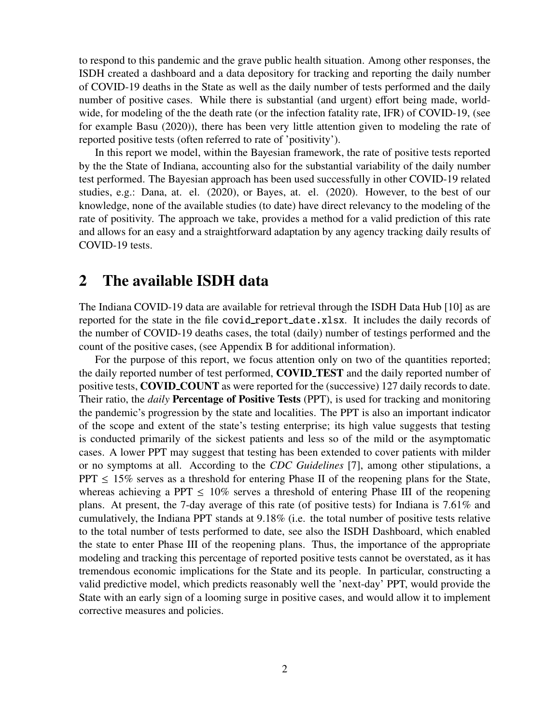to respond to this pandemic and the grave public health situation. Among other responses, the ISDH created a dashboard and a data depository for tracking and reporting the daily number of COVID-19 deaths in the State as well as the daily number of tests performed and the daily number of positive cases. While there is substantial (and urgent) effort being made, worldwide, for modeling of the the death rate (or the infection fatality rate, IFR) of COVID-19, (see for example Basu (2020)), there has been very little attention given to modeling the rate of reported positive tests (often referred to rate of 'positivity').

In this report we model, within the Bayesian framework, the rate of positive tests reported by the the State of Indiana, accounting also for the substantial variability of the daily number test performed. The Bayesian approach has been used successfully in other COVID-19 related studies, e.g.: Dana, at. el. (2020), or Bayes, at. el. (2020). However, to the best of our knowledge, none of the available studies (to date) have direct relevancy to the modeling of the rate of positivity. The approach we take, provides a method for a valid prediction of this rate and allows for an easy and a straightforward adaptation by any agency tracking daily results of COVID-19 tests.

### 2 The available ISDH data

The Indiana COVID-19 data are available for retrieval through the ISDH Data Hub [10] as are reported for the state in the file covid\_report\_date.xlsx. It includes the daily records of the number of COVID-19 deaths cases, the total (daily) number of testings performed and the count of the positive cases, (see Appendix B for additional information).

For the purpose of this report, we focus attention only on two of the quantities reported; the daily reported number of test performed, COVID TEST and the daily reported number of positive tests, COVID COUNT as were reported for the (successive) 127 daily records to date. Their ratio, the *daily* Percentage of Positive Tests (PPT), is used for tracking and monitoring the pandemic's progression by the state and localities. The PPT is also an important indicator of the scope and extent of the state's testing enterprise; its high value suggests that testing is conducted primarily of the sickest patients and less so of the mild or the asymptomatic cases. A lower PPT may suggest that testing has been extended to cover patients with milder or no symptoms at all. According to the *CDC Guidelines* [7], among other stipulations, a PPT  $\leq$  15% serves as a threshold for entering Phase II of the reopening plans for the State, whereas achieving a PPT  $\leq 10\%$  serves a threshold of entering Phase III of the reopening plans. At present, the 7-day average of this rate (of positive tests) for Indiana is 7.61% and cumulatively, the Indiana PPT stands at 9.18% (i.e. the total number of positive tests relative to the total number of tests performed to date, see also the ISDH Dashboard, which enabled the state to enter Phase III of the reopening plans. Thus, the importance of the appropriate modeling and tracking this percentage of reported positive tests cannot be overstated, as it has tremendous economic implications for the State and its people. In particular, constructing a valid predictive model, which predicts reasonably well the 'next-day' PPT, would provide the State with an early sign of a looming surge in positive cases, and would allow it to implement corrective measures and policies.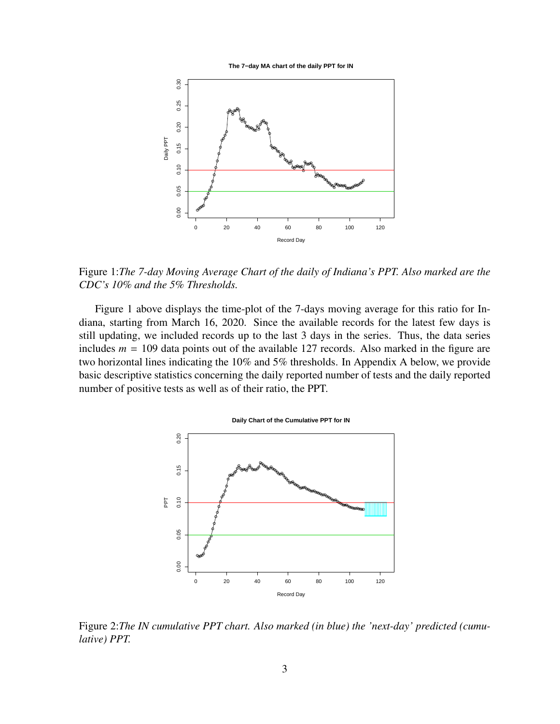



Figure 1:*The 7-day Moving Average Chart of the daily of Indiana's PPT. Also marked are the CDC's 10% and the 5% Thresholds.*

Figure 1 above displays the time-plot of the 7-days moving average for this ratio for Indiana, starting from March 16, 2020. Since the available records for the latest few days is still updating, we included records up to the last 3 days in the series. Thus, the data series includes  $m = 109$  data points out of the available 127 records. Also marked in the figure are two horizontal lines indicating the 10% and 5% thresholds. In Appendix A below, we provide basic descriptive statistics concerning the daily reported number of tests and the daily reported number of positive tests as well as of their ratio, the PPT.



Figure 2:*The IN cumulative PPT chart. Also marked (in blue) the 'next-day' predicted (cumulative) PPT.*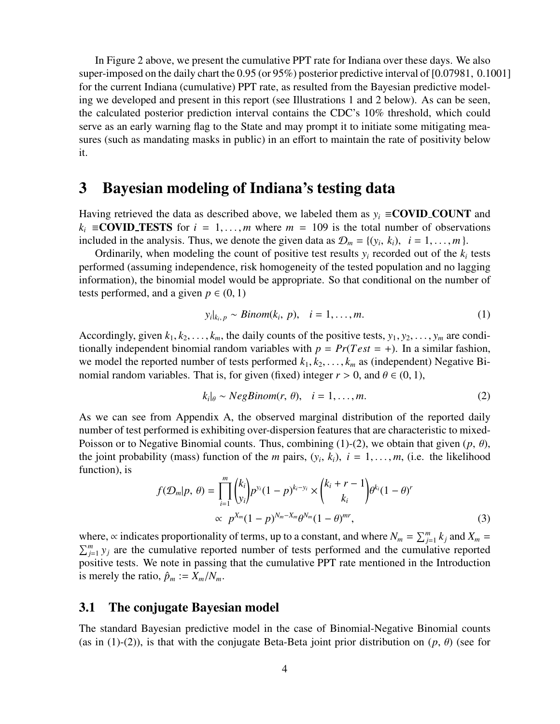In Figure 2 above, we present the cumulative PPT rate for Indiana over these days. We also super-imposed on the daily chart the 0.95 (or 95%) posterior predictive interval of [0.07981, 0.1001] for the current Indiana (cumulative) PPT rate, as resulted from the Bayesian predictive modeling we developed and present in this report (see Illustrations 1 and 2 below). As can be seen, the calculated posterior prediction interval contains the CDC's 10% threshold, which could serve as an early warning flag to the State and may prompt it to initiate some mitigating measures (such as mandating masks in public) in an effort to maintain the rate of positivity below it.

# 3 Bayesian modeling of Indiana's testing data

Having retrieved the data as described above, we labeled them as  $y_i$  ≡**COVID\_COUNT** and  $k_i$  ≡**COVID TESTS** for  $i = 1, \ldots, m$  where  $m = 109$  is the total number of observations included in the analysis. Thus, we denote the given data as  $\mathcal{D}_m = \{ (y_i, k_i), i = 1, ..., m \}.$ 

Ordinarily, when modeling the count of positive test results  $y_i$  recorded out of the  $k_i$  tests performed (assuming independence, risk homogeneity of the tested population and no lagging information), the binomial model would be appropriate. So that conditional on the number of tests performed, and a given  $p \in (0, 1)$ 

$$
y_i|_{k_i, p} \sim Binom(k_i, p), \quad i = 1, \ldots, m. \tag{1}
$$

Accordingly, given  $k_1, k_2, \ldots, k_m$ , the daily counts of the positive tests,  $y_1, y_2, \ldots, y_m$  are conditionally independent binomial random variables with  $p = Pr(Test = +)$ . In a similar fashion, we model the reported number of tests performed  $k_1, k_2, \ldots, k_m$  as (independent) Negative Binomial random variables. That is, for given (fixed) integer  $r > 0$ , and  $\theta \in (0, 1)$ ,

$$
k_i|_{\theta} \sim NegBinom(r, \theta), \quad i = 1, \dots, m. \tag{2}
$$

As we can see from Appendix A, the observed marginal distribution of the reported daily number of test performed is exhibiting over-dispersion features that are characteristic to mixed-Poisson or to Negative Binomial counts. Thus, combining (1)-(2), we obtain that given (*p*, θ), the joint probability (mass) function of the *m* pairs,  $(y_i, k_i)$ ,  $i = 1, \ldots, m$ , (i.e. the likelihood function), is

$$
f(\mathcal{D}_{m}|p, \theta) = \prod_{i=1}^{m} {k_{i} \choose y_{i}} p^{y_{i}} (1-p)^{k_{i}-y_{i}} \times {k_{i} + r - 1 \choose k_{i}} \theta^{k_{i}} (1-\theta)^{r}
$$
  
 
$$
\propto p^{X_{m}} (1-p)^{N_{m}-X_{m}} \theta^{N_{m}} (1-\theta)^{mr},
$$
 (3)

where,  $\propto$  indicates proportionality of terms, up to a constant, and where  $N_m = \sum_{j=1}^m k_j$  and  $X_m =$  $\sum_{j=1}^{m} y_j$  are the cumulative reported number of tests performed and the cumulative reported positive tests. We note in passing that the cumulative PPT rate mentioned in the Introduction is merely the ratio,  $\hat{p}_m := X_m/N_m$ .

#### 3.1 The conjugate Bayesian model

The standard Bayesian predictive model in the case of Binomial-Negative Binomial counts (as in (1)-(2)), is that with the conjugate Beta-Beta joint prior distribution on ( $p$ ,  $\theta$ ) (see for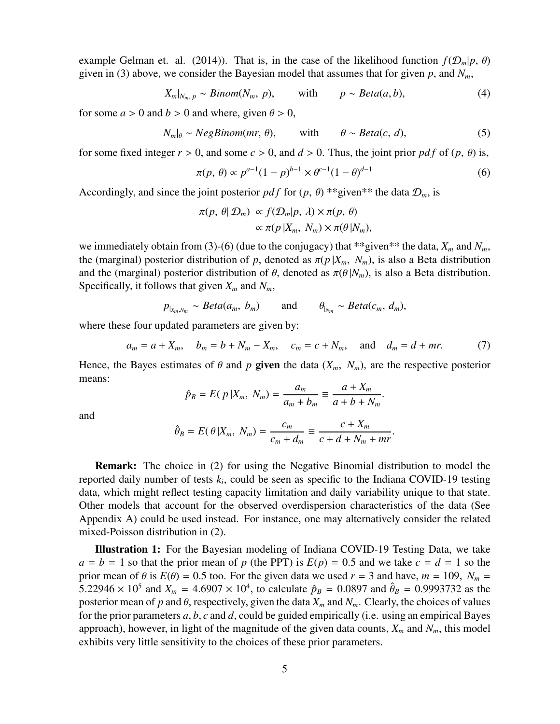example Gelman et. al. (2014)). That is, in the case of the likelihood function  $f(D_m|p, \theta)$ given in (3) above, we consider the Bayesian model that assumes that for given  $p$ , and  $N<sub>m</sub>$ ,

$$
X_m|_{N_m, p} \sim Binom(N_m, p), \quad \text{with} \quad p \sim Beta(a, b), \tag{4}
$$

for some  $a > 0$  and  $b > 0$  and where, given  $\theta > 0$ ,

$$
N_m|_{\theta} \sim NegBinom(mr, \theta), \qquad \text{with} \qquad \theta \sim Beta(c, d), \tag{5}
$$

for some fixed integer  $r > 0$ , and some  $c > 0$ , and  $d > 0$ . Thus, the joint prior pdf of  $(p, \theta)$  is,

$$
\pi(p,\,\theta) \propto p^{a-1}(1-p)^{b-1} \times \theta^{c-1}(1-\theta)^{d-1} \tag{6}
$$

Accordingly, and since the joint posterior *pdf* for  $(p, \theta)$ <sup>\*\*</sup>given<sup>\*\*</sup> the data  $\mathcal{D}_m$ , is

$$
\pi(p, \theta | \mathcal{D}_m) \propto f(\mathcal{D}_m | p, \lambda) \times \pi(p, \theta)
$$
  
 
$$
\propto \pi(p | X_m, N_m) \times \pi(\theta | N_m),
$$

we immediately obtain from (3)-(6) (due to the conjugacy) that \*\*given\*\* the data,  $X_m$  and  $N_m$ , the (marginal) posterior distribution of *p*, denoted as  $\pi(p|X_m, N_m)$ , is also a Beta distribution and the (marginal) posterior distribution of  $\theta$ , denoted as  $\pi(\theta|N_m)$ , is also a Beta distribution. Specifically, it follows that given  $X_m$  and  $N_m$ ,

$$
p_{|_{X_m,N_m}} \sim Beta(a_m, b_m)
$$
 and  $\theta_{|_{N_m}} \sim Beta(c_m, d_m)$ ,

where these four updated parameters are given by:

$$
a_m = a + X_m
$$
,  $b_m = b + N_m - X_m$ ,  $c_m = c + N_m$ , and  $d_m = d + mr$ . (7)

Hence, the Bayes estimates of  $\theta$  and  $p$  given the data  $(X_m, N_m)$ , are the respective posterior means:

$$
\hat{p}_B = E(p|X_m, N_m) = \frac{a_m}{a_m + b_m} \equiv \frac{a + X_m}{a + b + N_m}.
$$

and

$$
\hat{\theta}_B = E(\theta | X_m, N_m) = \frac{c_m}{c_m + d_m} \equiv \frac{c + X_m}{c + d + N_m + mr}.
$$

**Remark:** The choice in (2) for using the Negative Binomial distribution to model the reported daily number of tests *k<sup>i</sup>* , could be seen as specific to the Indiana COVID-19 testing data, which might reflect testing capacity limitation and daily variability unique to that state. Other models that account for the observed overdispersion characteristics of the data (See Appendix A) could be used instead. For instance, one may alternatively consider the related mixed-Poisson distribution in (2).

Illustration 1: For the Bayesian modeling of Indiana COVID-19 Testing Data, we take  $a = b = 1$  so that the prior mean of *p* (the PPT) is  $E(p) = 0.5$  and we take  $c = d = 1$  so the prior mean of  $\theta$  is  $E(\theta) = 0.5$  too. For the given data we used  $r = 3$  and have,  $m = 109$ ,  $N_m =$ 5.22946  $\times$  10<sup>5</sup> and  $X_m = 4.6907 \times 10^4$ , to calculate  $\hat{p}_B = 0.0897$  and  $\hat{\theta}_B = 0.9993732$  as the posterior mean of  $p$  and  $\theta$ , respectively, given the data  $X_m$  and  $N_m$ . Clearly, the choices of values for the prior parameters *a*, *b*, *c* and *d*, could be guided empirically (i.e. using an empirical Bayes approach), however, in light of the magnitude of the given data counts,  $X_m$  and  $N_m$ , this model exhibits very little sensitivity to the choices of these prior parameters.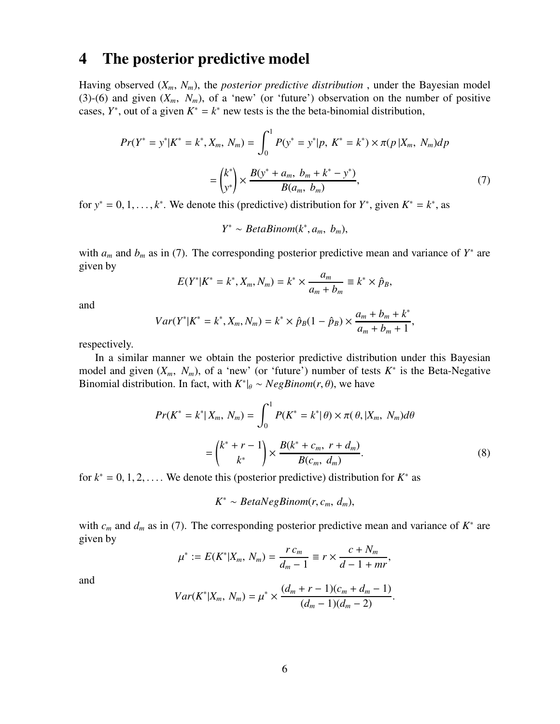# 4 The posterior predictive model

Having observed  $(X_m, N_m)$ , the *posterior predictive distribution*, under the Bayesian model (3)-(6) and given  $(X_m, N_m)$ , of a 'new' (or 'future') observation on the number of positive cases,  $Y^*$ , out of a given  $K^* = k^*$  new tests is the the beta-binomial distribution,

$$
Pr(Y^* = y^*|K^* = k^*, X_m, N_m) = \int_0^1 P(y^* = y^*|p, K^* = k^*) \times \pi(p|X_m, N_m) dp
$$
  
= 
$$
{k^* \choose y^*} \times \frac{B(y^* + a_m, b_m + k^* - y^*)}{B(a_m, b_m)},
$$
 (7)

for  $y^* = 0, 1, \ldots, k^*$ . We denote this (predictive) distribution for  $Y^*$ , given  $K^* = k^*$ , as

 $Y^* \sim BetaBinom(k^*, a_m, b_m)$ ,

with  $a_m$  and  $b_m$  as in (7). The corresponding posterior predictive mean and variance of  $Y^*$  are given by

$$
E(Y^*|K^*=k^*,X_m,N_m)=k^*\times\frac{a_m}{a_m+b_m}\equiv k^*\times\hat{p}_B,
$$

and

$$
Var(Y^*|K^* = k^*, X_m, N_m) = k^* \times \hat{p}_B(1 - \hat{p}_B) \times \frac{a_m + b_m + k^*}{a_m + b_m + 1},
$$

respectively.

In a similar manner we obtain the posterior predictive distribution under this Bayesian model and given  $(X_m, N_m)$ , of a 'new' (or 'future') number of tests  $K^*$  is the Beta-Negative Binomial distribution. In fact, with  $K^*|_{\theta} \sim NegBinom(r, \theta)$ , we have

$$
Pr(K^* = k^* | X_m, N_m) = \int_0^1 P(K^* = k^* | \theta) \times \pi(\theta, | X_m, N_m) d\theta
$$

$$
= {k^* + r - 1 \choose k^*} \times \frac{B(k^* + c_m, r + d_m)}{B(c_m, d_m)}.
$$
(8)

for  $k^* = 0, 1, 2, \ldots$  We denote this (posterior predictive) distribution for  $K^*$  as

 $K^* \sim BetaNegBinom(r, c_m, d_m)$ ,

with  $c_m$  and  $d_m$  as in (7). The corresponding posterior predictive mean and variance of  $K^*$  are given by

$$
\mu^* := E(K^*|X_m, N_m) = \frac{r c_m}{d_m - 1} \equiv r \times \frac{c + N_m}{d - 1 + mr},
$$

and

$$
Var(K^*|X_m, N_m) = \mu^* \times \frac{(d_m+r-1)(c_m+d_m-1)}{(d_m-1)(d_m-2)}.
$$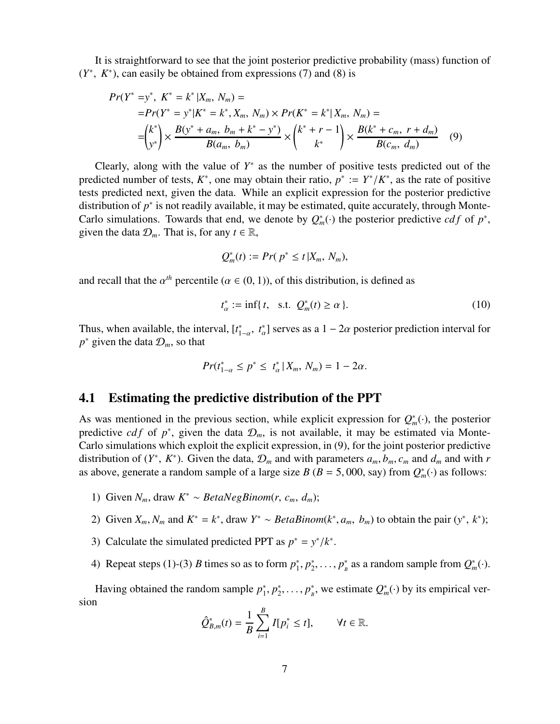It is straightforward to see that the joint posterior predictive probability (mass) function of  $(Y^*, K^*)$ , can easily be obtained from expressions (7) and (8) is

$$
Pr(Y^* = y^*, K^* = k^* | X_m, N_m) =
$$
  
= 
$$
Pr(Y^* = y^* | K^* = k^*, X_m, N_m) \times Pr(K^* = k^* | X_m, N_m) =
$$
  
= 
$$
\binom{k^*}{y^*} \times \frac{B(y^* + a_m, b_m + k^* - y^*)}{B(a_m, b_m)} \times \binom{k^* + r - 1}{k^*} \times \frac{B(k^* + c_m, r + d_m)}{B(c_m, d_m)}
$$
(9)

Clearly, along with the value of  $Y^*$  as the number of positive tests predicted out of the predicted number of tests,  $K^*$ , one may obtain their ratio,  $p^* := Y^*/K^*$ , as the rate of positive tests predicted next, given the data. While an explicit expression for the posterior predictive distribution of  $p^*$  is not readily available, it may be estimated, quite accurately, through Monte-Carlo simulations. Towards that end, we denote by  $Q_m^*(\cdot)$  the posterior predictive *cdf* of  $p^*$ , given the data  $\mathcal{D}_m$ . That is, for any  $t \in \mathbb{R}$ ,

$$
Q_m^*(t) := Pr(\, p^* \leq t \, | X_m, \, N_m),
$$

and recall that the  $\alpha^{th}$  percentile ( $\alpha \in (0, 1)$ ), of this distribution, is defined as

$$
t_{\alpha}^* := \inf\{t, \quad \text{s.t.} \quad Q_m^*(t) \ge \alpha\}. \tag{10}
$$

Thus, when available, the interval, [ $t_1^*$ <sup>\*</sup><sub>1-α</sub>,  $t_a^*$ ] serves as a 1 – 2*α* posterior prediction interval for  $p^*$  given the data  $\mathcal{D}_m$ , so that

$$
Pr(t_{1-\alpha}^* \le p^* \le t_{\alpha}^* | X_m, N_m) = 1 - 2\alpha.
$$

#### 4.1 Estimating the predictive distribution of the PPT

As was mentioned in the previous section, while explicit expression for  $Q_m^*(\cdot)$ , the posterior predictive *cdf* of  $p^*$ , given the data  $\mathcal{D}_m$ , is not available, it may be estimated via Monte-Carlo simulations which exploit the explicit expression, in (9), for the joint posterior predictive distribution of  $(Y^*, K^*)$ . Given the data,  $\mathcal{D}_m$  and with parameters  $a_m, b_m, c_m$  and  $d_m$  and with *r* as above, generate a random sample of a large size *B* ( $B = 5,000$ , say) from  $Q_m^*(\cdot)$  as follows:

- 1) Given  $N_m$ , draw  $K^* \sim BetaNegBinom(r, c_m, d_m)$ ;
- 2) Given  $X_m$ ,  $N_m$  and  $K^* = k^*$ , draw  $Y^* \sim BetaBinom(k^*, a_m, b_m)$  to obtain the pair  $(y^*, k^*)$ ;
- 3) Calculate the simulated predicted PPT as  $p^* = y^* / k^*$ .
- 4) Repeat steps (1)-(3) *B* times so as to form  $p_1^*$  $j<sub>1</sub>$ <sup>\*</sup>,  $p<sub>2</sub>$ <sup>\*</sup> <sup>\*</sup><sub>2</sub>, ...,  $p_{B}^{*}$ <sup>\*</sup><sub>*B*</sub> as a random sample from  $Q_m^*(\cdot)$ .

Having obtained the random sample  $p_1^*$  $j<sub>1</sub>$ <sup>\*</sup>,  $p<sub>2</sub>$ <sup>\*</sup> <sup>\*</sup><sub>2</sub>, ...,  $p_{B}^{*}$ <sup>\*</sup><sub>*B*</sub>, we estimate  $Q_m^*(\cdot)$  by its empirical version

$$
\hat{Q}_{B,m}^*(t) = \frac{1}{B} \sum_{i=1}^B I[p_i^* \le t], \qquad \forall t \in \mathbb{R}.
$$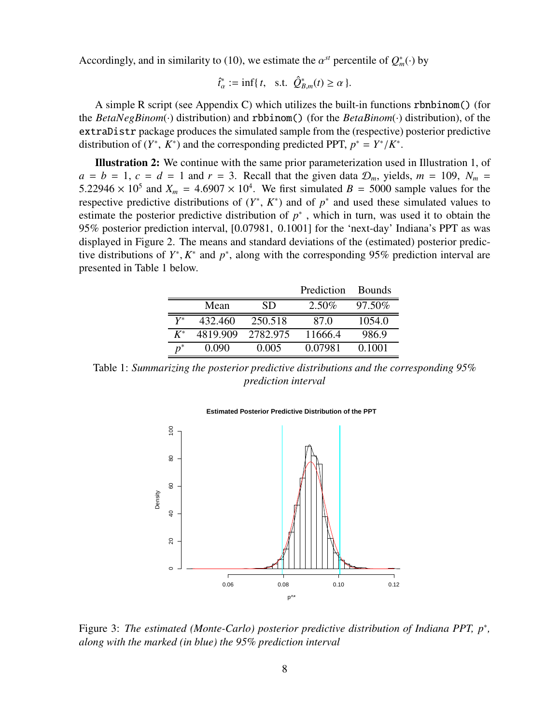Accordingly, and in similarity to (10), we estimate the  $\alpha^{st}$  percentile of  $Q_m^*(\cdot)$  by

$$
\hat{t}^*_{\alpha} := \inf\{t, \text{ s.t. } \hat{Q}^*_{B,m}(t) \ge \alpha\}.
$$

A simple R script (see Appendix C) which utilizes the built-in functions rbnbinom() (for the *BetaNegBinom*(·) distribution) and rbbinom() (for the *BetaBinom*(·) distribution), of the extraDistr package produces the simulated sample from the (respective) posterior predictive distribution of  $(Y^*, K^*)$  and the corresponding predicted PPT,  $p^* = Y^* / K^*$ .

Illustration 2: We continue with the same prior parameterization used in Illustration 1, of  $a = b = 1$ ,  $c = d = 1$  and  $r = 3$ . Recall that the given data  $\mathcal{D}_m$ , yields,  $m = 109$ ,  $N_m =$ 5.22946  $\times$  10<sup>5</sup> and  $X_m = 4.6907 \times 10^4$ . We first simulated  $B = 5000$  sample values for the respective predictive distributions of  $(Y^*, K^*)$  and of  $p^*$  and used these simulated values to estimate the posterior predictive distribution of  $p^*$ , which in turn, was used it to obtain the 95% posterior prediction interval, [0.07981, 0.1001] for the 'next-day' Indiana's PPT as was displayed in Figure 2. The means and standard deviations of the (estimated) posterior predictive distributions of  $Y^*$ ,  $K^*$  and  $p^*$ , along with the corresponding 95% prediction interval are presented in Table 1 below.

|                    |          |          | Prediction | <b>Bounds</b> |
|--------------------|----------|----------|------------|---------------|
|                    | Mean     | SD       | $2.50\%$   | 97.50%        |
| $\boldsymbol{V}^*$ | 432.460  | 250.518  | 87.0       | 1054.0        |
| $K^*$              | 4819.909 | 2782.975 | 11666.4    | 986.9         |
| $n^*$              | 0.090    | 0.005    | 0.07981    | 0.1001        |

Table 1: *Summarizing the posterior predictive distributions and the corresponding 95% prediction interval*





Figure 3: *The estimated (Monte-Carlo) posterior predictive distribution of Indiana PPT, p*<sup>∗</sup> *, along with the marked (in blue) the 95% prediction interval*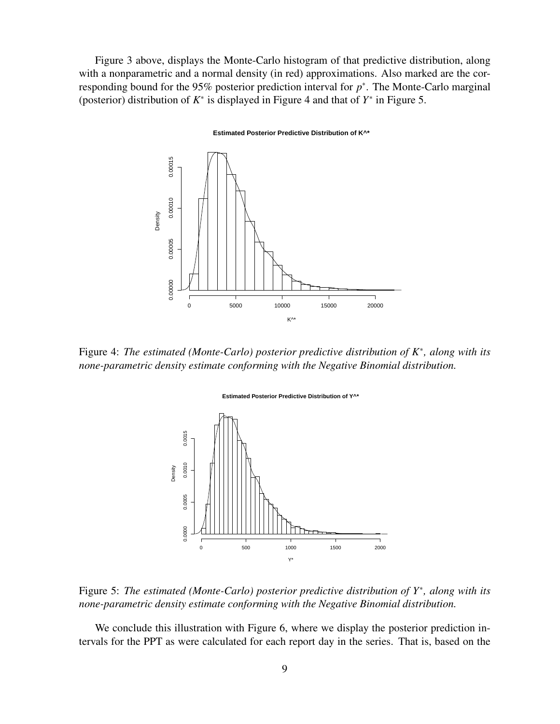Figure 3 above, displays the Monte-Carlo histogram of that predictive distribution, along with a nonparametric and a normal density (in red) approximations. Also marked are the corresponding bound for the  $95\%$  posterior prediction interval for  $p^*$ . The Monte-Carlo marginal (posterior) distribution of  $K^*$  is displayed in Figure 4 and that of  $Y^*$  in Figure 5.



**Estimated Posterior Predictive Distribution of K^\***

Figure 4: *The estimated (Monte-Carlo) posterior predictive distribution of K*<sup>∗</sup> *, along with its none-parametric density estimate conforming with the Negative Binomial distribution.*



Figure 5: *The estimated (Monte-Carlo) posterior predictive distribution of Y*<sup>∗</sup> *, along with its none-parametric density estimate conforming with the Negative Binomial distribution.*

We conclude this illustration with Figure 6, where we display the posterior prediction intervals for the PPT as were calculated for each report day in the series. That is, based on the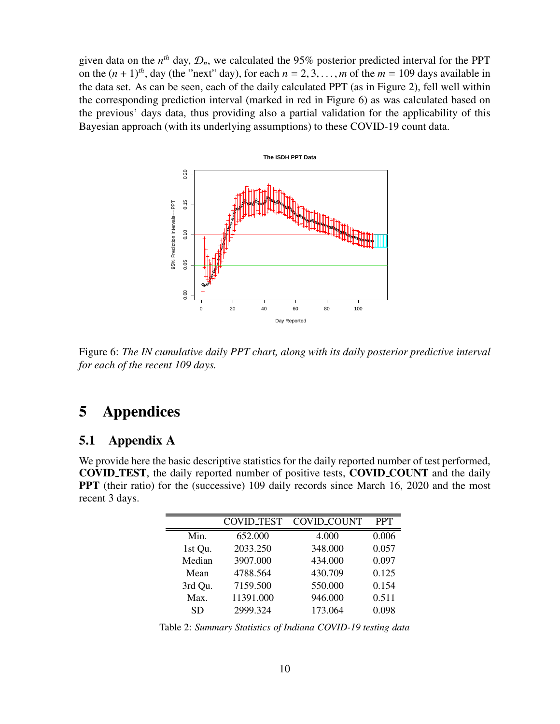given data on the  $n^{th}$  day,  $\mathcal{D}_n$ , we calculated the 95% posterior predicted interval for the PPT on the  $(n + 1)$ <sup>th</sup>, day (the "next" day), for each  $n = 2, 3, \ldots, m$  of the  $m = 109$  days available in the data set. As can be seen, each of the daily calculated PPT (as in Figure 2), fell well within the corresponding prediction interval (marked in red in Figure 6) as was calculated based on the previous' days data, thus providing also a partial validation for the applicability of this Bayesian approach (with its underlying assumptions) to these COVID-19 count data.



Figure 6: *The IN cumulative daily PPT chart, along with its daily posterior predictive interval for each of the recent 109 days.*

# 5 Appendices

#### 5.1 Appendix A

We provide here the basic descriptive statistics for the daily reported number of test performed, COVID TEST, the daily reported number of positive tests, COVID COUNT and the daily PPT (their ratio) for the (successive) 109 daily records since March 16, 2020 and the most recent 3 days.

|         | <b>COVID_TEST</b> | <b>COVID_COUNT</b> | <b>PPT</b> |
|---------|-------------------|--------------------|------------|
| Min.    | 652.000           | 4.000              | 0.006      |
| 1st Qu. | 2033.250          | 348.000            | 0.057      |
| Median  | 3907.000          | 434.000            | 0.097      |
| Mean    | 4788.564          | 430.709            | 0.125      |
| 3rd Qu. | 7159.500          | 550.000            | 0.154      |
| Max.    | 11391.000         | 946.000            | 0.511      |
| SD      | 2999.324          | 173.064            | 0.098      |

Table 2: *Summary Statistics of Indiana COVID-19 testing data*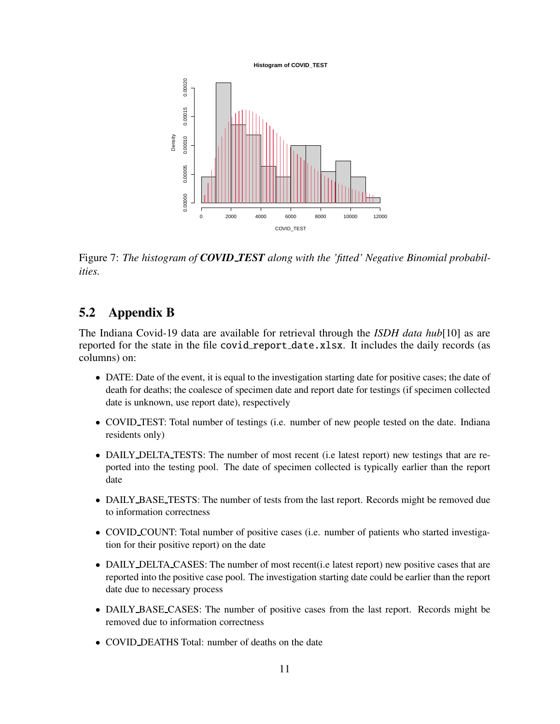**Histogram of COVID\_TEST**



Figure 7: *The histogram of COVID TEST along with the 'fitted' Negative Binomial probabilities.*

### 5.2 Appendix B

The Indiana Covid-19 data are available for retrieval through the *ISDH data hub*[10] as are reported for the state in the file covid\_report\_date.xlsx. It includes the daily records (as columns) on:

- DATE: Date of the event, it is equal to the investigation starting date for positive cases; the date of death for deaths; the coalesce of specimen date and report date for testings (if specimen collected date is unknown, use report date), respectively
- COVID\_TEST: Total number of testings (i.e. number of new people tested on the date. Indiana residents only)
- DAILY\_DELTA\_TESTS: The number of most recent (i.e latest report) new testings that are reported into the testing pool. The date of specimen collected is typically earlier than the report date
- DAILY\_BASE\_TESTS: The number of tests from the last report. Records might be removed due to information correctness
- COVID\_COUNT: Total number of positive cases (i.e. number of patients who started investigation for their positive report) on the date
- DAILY\_DELTA\_CASES: The number of most recent (i.e latest report) new positive cases that are reported into the positive case pool. The investigation starting date could be earlier than the report date due to necessary process
- DAILY\_BASE\_CASES: The number of positive cases from the last report. Records might be removed due to information correctness
- COVID\_DEATHS Total: number of deaths on the date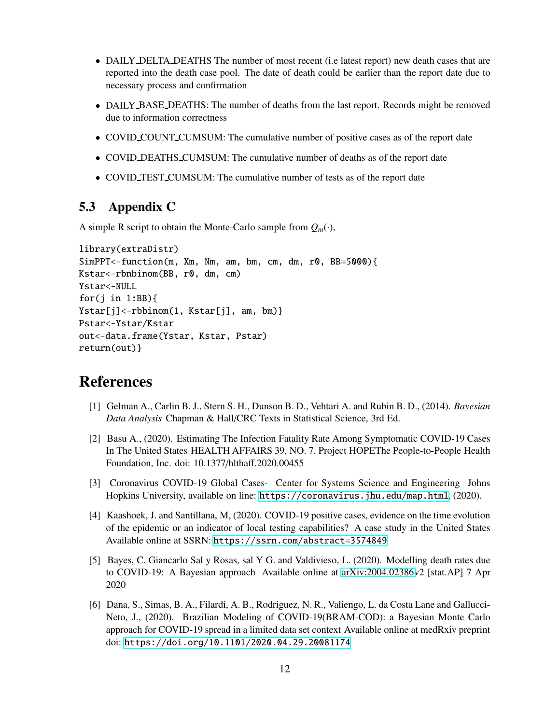- DAILY\_DELTA\_DEATHS The number of most recent (i.e latest report) new death cases that are reported into the death case pool. The date of death could be earlier than the report date due to necessary process and confirmation
- DAILY\_BASE\_DEATHS: The number of deaths from the last report. Records might be removed due to information correctness
- COVID\_COUNT\_CUMSUM: The cumulative number of positive cases as of the report date
- COVID\_DEATHS\_CUMSUM: The cumulative number of deaths as of the report date
- COVID\_TEST\_CUMSUM: The cumulative number of tests as of the report date

### 5.3 Appendix C

A simple R script to obtain the Monte-Carlo sample from  $Q_m(\cdot)$ ,

```
library(extraDistr)
SimPPT<-function(m, Xm, Nm, am, bm, cm, dm, r0, BB=5000){
Kstar<-rbnbinom(BB, r0, dm, cm)
Ystar<-NULL
for(j in 1:BB){
Ystar[j]<-rbbinom(1, Kstar[j], am, bm)}
Pstar<-Ystar/Kstar
out<-data.frame(Ystar, Kstar, Pstar)
return(out)}
```
### References

- [1] Gelman A., Carlin B. J., Stern S. H., Dunson B. D., Vehtari A. and Rubin B. D., (2014). *Bayesian Data Analysis* Chapman & Hall/CRC Texts in Statistical Science, 3rd Ed.
- [2] Basu A., (2020). Estimating The Infection Fatality Rate Among Symptomatic COVID-19 Cases In The United States HEALTH AFFAIRS 39, NO. 7. Project HOPEThe People-to-People Health Foundation, Inc. doi: 10.1377/hlthaff.2020.00455
- [3] Coronavirus COVID-19 Global Cases- Center for Systems Science and Engineering Johns Hopkins University, available on line: <https://coronavirus.jhu.edu/map.html>, (2020).
- [4] Kaashoek, J. and Santillana, M, (2020). COVID-19 positive cases, evidence on the time evolution of the epidemic or an indicator of local testing capabilities? A case study in the United States Available online at SSRN: <https://ssrn.com/abstract=3574849>
- [5] Bayes, C. Giancarlo Sal y Rosas, sal Y G. and Valdivieso, L. (2020). Modelling death rates due to COVID-19: A Bayesian approach Available online at [arXiv:2004.02386v](http://arxiv.org/abs/2004.02386)2 [stat.AP] 7 Apr 2020
- [6] Dana, S., Simas, B. A., Filardi, A. B., Rodriguez, N. R., Valiengo, L. da Costa Lane and Gallucci-Neto, J., (2020). Brazilian Modeling of COVID-19(BRAM-COD): a Bayesian Monte Carlo approach for COVID-19 spread in a limited data set context Available online at medRxiv preprint doi: <https://doi.org/10.1101/2020.04.29.20081174>